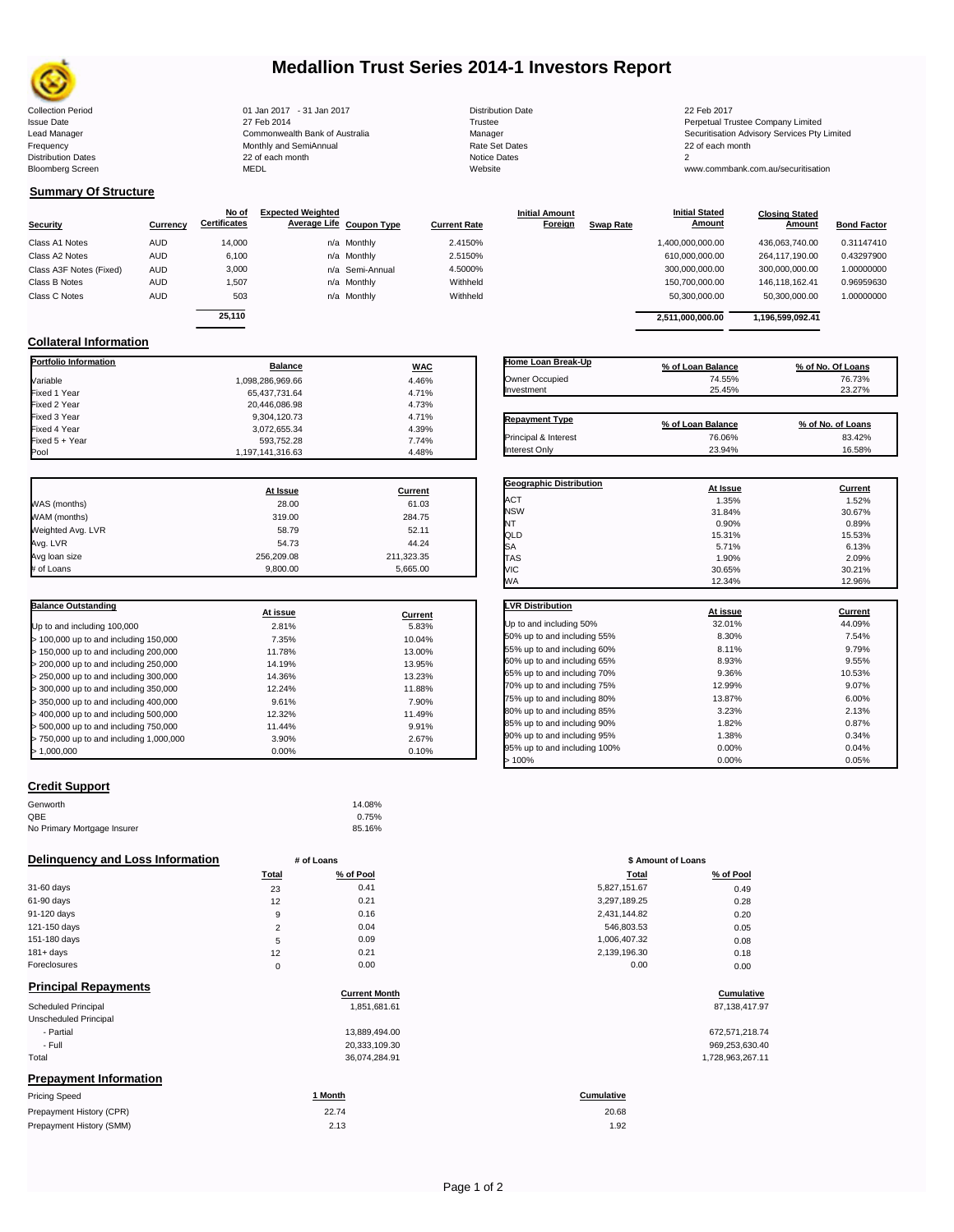

# **Medallion Trust Series 2014-1 Investors Report**

Lead Manager **Commonwealth Bank of Australia** Manager Manager Securitisation Advisory Services Pty Limited

**Closing Stated Amount**

### **Summary Of Structure**

**Collateral Information**

|                         |            | No of               | <b>Expected Weighted</b> |                          |                     | <b>Initial Amount</b> |                  | <b>Initial Stated</b> | <b>Closing Stated</b> |                    |
|-------------------------|------------|---------------------|--------------------------|--------------------------|---------------------|-----------------------|------------------|-----------------------|-----------------------|--------------------|
| <b>Security</b>         | Currency   | <b>Certificates</b> |                          | Average Life Coupon Type | <b>Current Rate</b> | Foreign               | <b>Swap Rate</b> | <b>Amount</b>         | Amount                | <b>Bond Factor</b> |
| Class A1 Notes          | <b>AUD</b> | 14,000              |                          | n/a Monthly              | 2.4150%             |                       |                  | 1,400,000,000.00      | 436.063.740.00        | 0.31147410         |
| Class A2 Notes          | <b>AUD</b> | 6,100               |                          | n/a Monthly              | 2.5150%             |                       |                  | 610,000,000.00        | 264.117.190.00        | 0.43297900         |
| Class A3F Notes (Fixed) | <b>AUD</b> | 3,000               |                          | n/a Semi-Annual          | 4.5000%             |                       |                  | 300,000,000.00        | 300,000,000.00        | 1.00000000         |
| Class B Notes           | <b>AUD</b> | 1.507               |                          | n/a Monthly              | Withheld            |                       |                  | 150.700.000.00        | 146.118.162.41        | 0.96959630         |
| Class C Notes           | <b>AUD</b> | 503                 |                          | n/a Monthly              | Withheld            |                       |                  | 50,300,000.00         | 50,300,000.00         | 1.00000000         |
|                         |            | 25.110              |                          |                          |                     |                       |                  |                       |                       |                    |
|                         |            |                     |                          |                          |                     |                       |                  | 2.511.000.000.00      | 1.196.599.092.41      |                    |

**Portfolio Information Balance WAC** Variable 1,098,286,969.66 4.46% Fixed 1 Year 65,437,731.64 4.71% Fixed 2 Year 20,446,086.98 4.73% Fixed 3 Year 9,304,120.73 4.71% Fixed 4 Year 3,072,655.34 4.39% Fixed 5 + Year 593,752.28 7.74%

| Home Loan Break-Up    | % of Loan Balance | % of No. Of Loans |
|-----------------------|-------------------|-------------------|
| Owner Occupied        | 74.55%            | 76.73%            |
| Investment            | 25.45%            | 23.27%            |
| <b>Repayment Type</b> | % of Loan Balance | % of No. of Loans |
| Principal & Interest  | 76.06%            | 83.42%            |
| Interest Only         | 23.94%            | 16.58%            |

**Geographic Distribution At Issue Current** ACT 1.35% 1.52% NSW 31.84% 30.67% NT  $0.90\%$  0.89% 0.89%

**Initial Stated** 

|                   | At Issue   | Current    |
|-------------------|------------|------------|
| WAS (months)      | 28.00      | 61.03      |
| WAM (months)      | 319.00     | 284.75     |
| Weighted Avg. LVR | 58.79      | 52.11      |
| Avg. LVR          | 54.73      | 44.24      |
| Avg loan size     | 256.209.08 | 211,323.35 |
| # of Loans        | 9.800.00   | 5.665.00   |

1,197,141,316.63

| <b>Balance Outstanding</b>              |          |         |
|-----------------------------------------|----------|---------|
|                                         | At issue | Current |
| Up to and including 100,000             | 2.81%    | 5.83%   |
| $>$ 100,000 up to and including 150,000 | 7.35%    | 10.04%  |
| $>$ 150,000 up to and including 200,000 | 11.78%   | 13.00%  |
| > 200,000 up to and including 250,000   | 14.19%   | 13.95%  |
| > 250,000 up to and including 300,000   | 14.36%   | 13.23%  |
| > 300,000 up to and including 350,000   | 12.24%   | 11.88%  |
| > 350,000 up to and including 400,000   | 9.61%    | 7.90%   |
| > 400,000 up to and including 500,000   | 12.32%   | 11.49%  |
| > 500,000 up to and including 750,000   | 11.44%   | 9.91%   |
| > 750,000 up to and including 1,000,000 | 3.90%    | 2.67%   |
| > 1.000.000                             | 0.00%    | 0.10%   |

| QLD                          | 15.31%   | 15.53%  |
|------------------------------|----------|---------|
| SA                           | 5.71%    | 6.13%   |
| <b>TAS</b>                   | 1.90%    | 2.09%   |
| VIC                          | 30.65%   | 30.21%  |
| WA                           | 12.34%   | 12.96%  |
| <b>LVR Distribution</b>      | At issue | Current |
| Up to and including 50%      | 32.01%   | 44.09%  |
| 50% up to and including 55%  | 8.30%    | 7.54%   |
| 55% up to and including 60%  | 8.11%    | 9.79%   |
| 60% up to and including 65%  | 8.93%    | 9.55%   |
| 65% up to and including 70%  | 9.36%    | 10.53%  |
| 70% up to and including 75%  | 12.99%   | 9.07%   |
| 75% up to and including 80%  | 13.87%   | 6.00%   |
| 80% up to and including 85%  | 3.23%    | 2.13%   |
| 85% up to and including 90%  | 1.82%    | 0.87%   |
| 90% up to and including 95%  | 1.38%    | 0.34%   |
| 95% up to and including 100% | 0.00%    | 0.04%   |
| >100%                        | 0.00%    | 0.05%   |

#### **Credit Support**

| Genworth                    | 14.08% |
|-----------------------------|--------|
| QBE                         | 0.75%  |
| No Primary Mortgage Insurer | 85.16% |

#### **Delinquency and Loss Information # of Loans # 100 mm 100 mm 100 mm 100 mm 100 mm 100 mm 100 mm 100 mm**

|              | <b>Total</b> | % of Pool | Total        | % of Pool |
|--------------|--------------|-----------|--------------|-----------|
| 31-60 days   | 23           | 0.41      | 5,827,151.67 | 0.49      |
| 61-90 days   | 12           | 0.21      | 3,297,189.25 | 0.28      |
| 91-120 days  | 9            | 0.16      | 2,431,144.82 | 0.20      |
| 121-150 days |              | 0.04      | 546,803.53   | 0.05      |
| 151-180 days | 5            | 0.09      | 1,006,407.32 | 0.08      |
| $181 + days$ | 12           | 0.21      | 2,139,196.30 | 0.18      |
| Foreclosures | $\Omega$     | 0.00      | 0.00         | 0.00      |
|              |              |           |              |           |

| <b>Principal Repayments</b> |  |
|-----------------------------|--|
|-----------------------------|--|

| Principal Repayments          | <b>Current Month</b> | Cumulative       |
|-------------------------------|----------------------|------------------|
| Scheduled Principal           | 1,851,681.61         | 87,138,417.97    |
| Unscheduled Principal         |                      |                  |
| - Partial                     | 13.889.494.00        | 672,571,218.74   |
| - Full                        | 20,333,109.30        | 969,253,630.40   |
| Total                         | 36.074.284.91        | 1,728,963,267.11 |
| <b>Prepayment Information</b> |                      |                  |
| <b>Driging Chood</b>          | $4$ Manth            | Cumulative       |

| <b>Pricing Speed</b>     | Month | <b>Cumulative</b> |
|--------------------------|-------|-------------------|
| Prepayment History (CPR) | 22.74 | 20.68             |
| Prepayment History (SMM) | 2.13  | .92               |

20.68

Collection Period 01 Jan 2017 - 31 Jan 2017 Distribution Date 22 Feb 2017 Issue Date 2014 27 Feb 2014 27 Feb 2014<br>Isaad Manager 2015 2017 Commonwealth Bank of Australia 2016 Manager 2016 2017 2017 Securitisation Advisory Services Pty Frequency Communication Communication Monthly and SemiAnnual Communication Communication Communication Communication Communication Communication Communication Communication Communication Communication Communication Communi 22 of each month 2 of each month 2 of each month 2 of each month 2 of each month 2 of each month 2 of each month 2 of each month 2 of each month 2 of each month 2 of each month 2 of each month 2 of each month 2 of each mon Bloomberg Screen MEDL Website www.commbank.com.au/securitisation